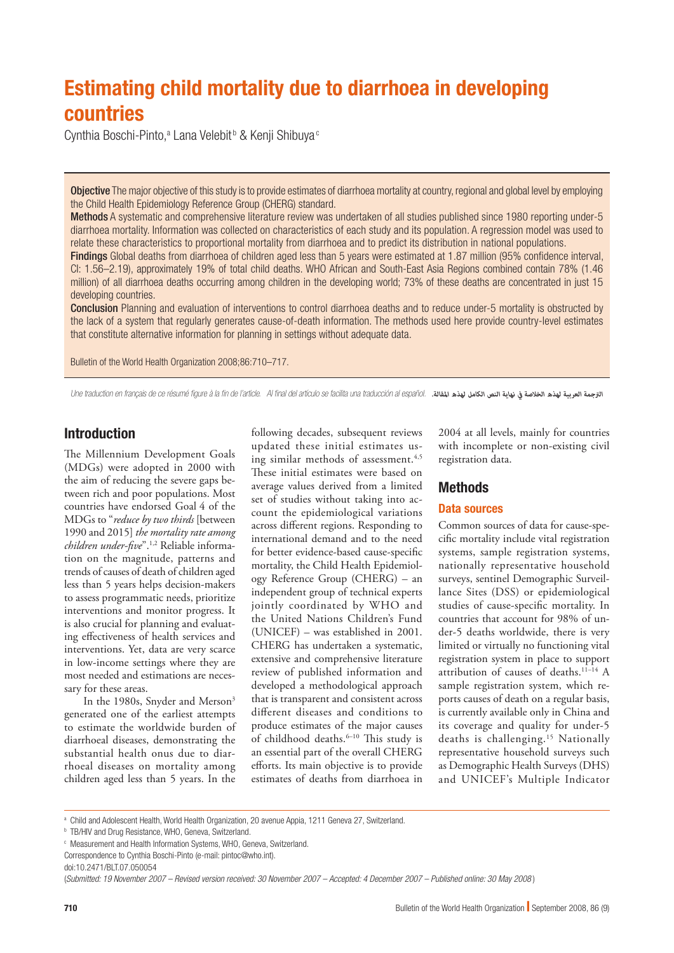# Estimating child mortality due to diarrhoea in developing countries

Cynthia Boschi-Pinto,<sup>a</sup> Lana Velebit<sup>b</sup> & Kenji Shibuya<sup>c</sup>

Objective The major objective of this study is to provide estimates of diarrhoea mortality at country, regional and global level by employing the Child Health Epidemiology Reference Group (CHERG) standard.

Methods A systematic and comprehensive literature review was undertaken of all studies published since 1980 reporting under-5 diarrhoea mortality. Information was collected on characteristics of each study and its population. A regression model was used to relate these characteristics to proportional mortality from diarrhoea and to predict its distribution in national populations.

Findings Global deaths from diarrhoea of children aged less than 5 years were estimated at 1.87 million (95% confidence interval, CI: 1.56–2.19), approximately 19% of total child deaths. WHO African and South-East Asia Regions combined contain 78% (1.46 million) of all diarrhoea deaths occurring among children in the developing world; 73% of these deaths are concentrated in just 15 developing countries.

Conclusion Planning and evaluation of interventions to control diarrhoea deaths and to reduce under-5 mortality is obstructed by the lack of a system that regularly generates cause-of-death information. The methods used here provide country-level estimates that constitute alternative information for planning in settings without adequate data.

Bulletin of the World Health Organization 2008;86:710–717.

Une traduction en français de ce résumé figure à la fin de l'article. Al final del artículo se facilita una traducción al español. *.املقالة لهذه الكامل النص نهاية يف الخالصة لهذه العربية الرتجمة*

# Introduction

The Millennium Development Goals (MDGs) were adopted in 2000 with the aim of reducing the severe gaps between rich and poor populations. Most countries have endorsed Goal 4 of the MDGs to "*reduce by two thirds* [between 1990 and 2015] *the mortality rate among children under-five*".1,2 Reliable information on the magnitude, patterns and trends of causes of death of children aged less than 5 years helps decision-makers to assess programmatic needs, prioritize interventions and monitor progress. It is also crucial for planning and evaluating effectiveness of health services and interventions. Yet, data are very scarce in low-income settings where they are most needed and estimations are necessary for these areas.

In the 1980s, Snyder and Merson<sup>3</sup> generated one of the earliest attempts to estimate the worldwide burden of diarrhoeal diseases, demonstrating the substantial health onus due to diarrhoeal diseases on mortality among children aged less than 5 years. In the

following decades, subsequent reviews updated these initial estimates using similar methods of assessment.<sup>4,5</sup> These initial estimates were based on average values derived from a limited set of studies without taking into account the epidemiological variations across different regions. Responding to international demand and to the need for better evidence-based cause-specific mortality, the Child Health Epidemiology Reference Group (CHERG) – an independent group of technical experts jointly coordinated by WHO and the United Nations Children's Fund (UNICEF) – was established in 2001. CHERG has undertaken a systematic, extensive and comprehensive literature review of published information and developed a methodological approach that is transparent and consistent across different diseases and conditions to produce estimates of the major causes of childhood deaths.<sup>6-10</sup> This study is an essential part of the overall CHERG efforts. Its main objective is to provide estimates of deaths from diarrhoea in

2004 at all levels, mainly for countries with incomplete or non-existing civil registration data.

## Methods

#### Data sources

Common sources of data for cause-specific mortality include vital registration systems, sample registration systems, nationally representative household surveys, sentinel Demographic Surveillance Sites (DSS) or epidemiological studies of cause-specific mortality. In countries that account for 98% of under-5 deaths worldwide, there is very limited or virtually no functioning vital registration system in place to support attribution of causes of deaths.11–14 A sample registration system, which reports causes of death on a regular basis, is currently available only in China and its coverage and quality for under-5 deaths is challenging.15 Nationally representative household surveys such as Demographic Health Surveys (DHS) and UNICEF's Multiple Indicator

a Child and Adolescent Health, World Health Organization, 20 avenue Appia, 1211 Geneva 27, Switzerland.

**D** TB/HIV and Drug Resistance, WHO, Geneva, Switzerland.

c Measurement and Health Information Systems, WHO, Geneva, Switzerland. Correspondence to Cynthia Boschi-Pinto (e-mail: pintoc@who.int).

doi:10.2471/BLT.07.050054

<sup>(</sup>*Submitted: 19 November 2007 – Revised version received: 30 November 2007 – Accepted: 4 December 2007 – Published online: 30 May 2008* )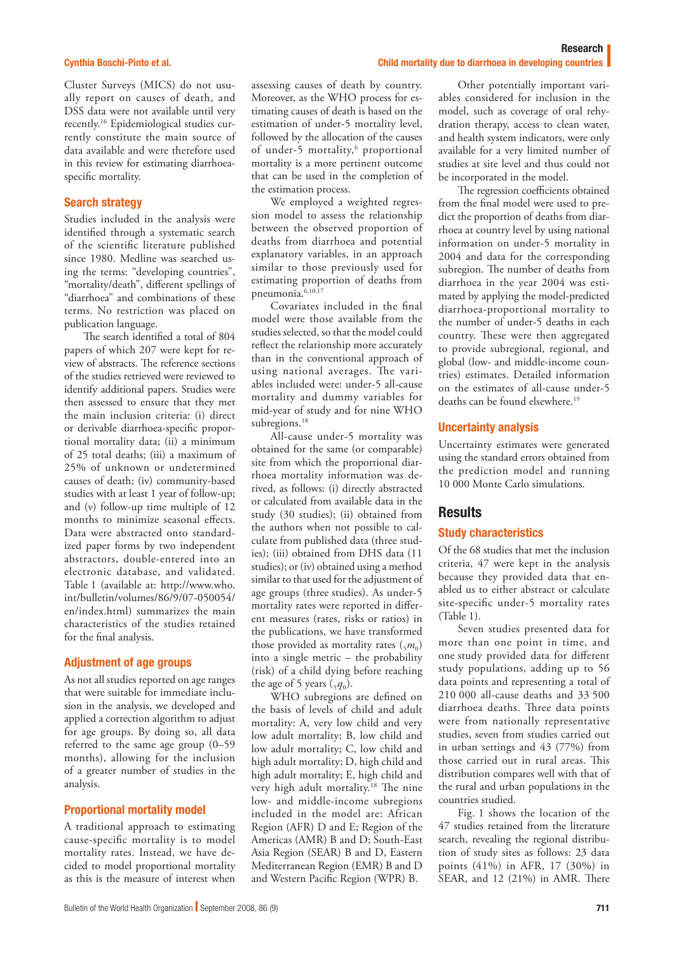#### Cynthia Boschi-Pinto et al.

Cluster Surveys (MICS) do not usually report on causes of death, and DSS data were not available until very recently.16 Epidemiological studies currently constitute the main source of data available and were therefore used in this review for estimating diarrhoeaspecific mortality.

#### Search strategy

Studies included in the analysis were identified through a systematic search of the scientific literature published since 1980. Medline was searched using the terms: "developing countries", "mortality/death", different spellings of "diarrhoea" and combinations of these terms. No restriction was placed on publication language.

The search identified a total of 804 papers of which 207 were kept for review of abstracts. The reference sections of the studies retrieved were reviewed to identify additional papers. Studies were then assessed to ensure that they met the main inclusion criteria: (i) direct or derivable diarrhoea-specific proportional mortality data; (ii) a minimum of 25 total deaths; (iii) a maximum of 25% of unknown or undetermined causes of death; (iv) community-based studies with at least 1 year of follow-up; and (v) follow-up time multiple of 12 months to minimize seasonal effects. Data were abstracted onto standardized paper forms by two independent abstractors, double-entered into an electronic database, and validated. Table 1 (available at: [http://www.who.](http://www.who.int/bulletin/volumes/86/9/07-050054/en/index.html) [int/bulletin/volumes/86/9/07-050054/](http://www.who.int/bulletin/volumes/86/9/07-050054/en/index.html) [en/index.html](http://www.who.int/bulletin/volumes/86/9/07-050054/en/index.html)) summarizes the main characteristics of the studies retained for the final analysis.

#### Adjustment of age groups

As not all studies reported on age ranges that were suitable for immediate inclusion in the analysis, we developed and applied a correction algorithm to adjust for age groups. By doing so, all data referred to the same age group (0–59 months), allowing for the inclusion of a greater number of studies in the analysis.

## Proportional mortality model

A traditional approach to estimating cause-specific mortality is to model mortality rates. Instead, we have decided to model proportional mortality as this is the measure of interest when

assessing causes of death by country. Moreover, as the WHO process for estimating causes of death is based on the estimation of under-5 mortality level, followed by the allocation of the causes of under-5 mortality,<sup>6</sup> proportional mortality is a more pertinent outcome that can be used in the completion of the estimation process.

We employed a weighted regression model to assess the relationship between the observed proportion of deaths from diarrhoea and potential explanatory variables, in an approach similar to those previously used for estimating proportion of deaths from pneumonia.<sup>6,10,17</sup>

Covariates included in the final model were those available from the studies selected, so that the model could reflect the relationship more accurately than in the conventional approach of using national averages. The variables included were: under-5 all-cause mortality and dummy variables for mid-year of study and for nine WHO subregions.<sup>18</sup>

All-cause under-5 mortality was obtained for the same (or comparable) site from which the proportional diarrhoea mortality information was derived, as follows: (i) directly abstracted or calculated from available data in the study (30 studies); (ii) obtained from the authors when not possible to calculate from published data (three studies); (iii) obtained from DHS data (11 studies); or (iv) obtained using a method similar to that used for the adjustment of age groups (three studies). As under-5 mortality rates were reported in different measures (rates, risks or ratios) in the publications, we have transformed those provided as mortality rates  $\binom{5m_0}{5m_0}$ into a single metric – the probability (risk) of a child dying before reaching the age of 5 years  $({}^5q_0)$ .

WHO subregions are defined on the basis of levels of child and adult mortality: A, very low child and very low adult mortality; B, low child and low adult mortality; C, low child and high adult mortality; D, high child and high adult mortality; E, high child and very high adult mortality.18 The nine low- and middle-income subregions included in the model are: African Region (AFR) D and E; Region of the Americas (AMR) B and D; South-East Asia Region (SEAR) B and D, Eastern Mediterranean Region (EMR) B and D and Western Pacific Region (WPR) B.

Other potentially important variables considered for inclusion in the model, such as coverage of oral rehydration therapy, access to clean water, and health system indicators, were only available for a very limited number of studies at site level and thus could not be incorporated in the model.

Child mortality due to diarrhoea in developing countries

The regression coefficients obtained from the final model were used to predict the proportion of deaths from diarrhoea at country level by using national information on under-5 mortality in 2004 and data for the corresponding subregion. The number of deaths from diarrhoea in the year 2004 was estimated by applying the model-predicted diarrhoea-proportional mortality to the number of under-5 deaths in each country. These were then aggregated to provide subregional, regional, and global (low- and middle-income countries) estimates. Detailed information on the estimates of all-cause under-5 deaths can be found elsewhere.<sup>19</sup>

#### Uncertainty analysis

Uncertainty estimates were generated using the standard errors obtained from the prediction model and running 10 000 Monte Carlo simulations.

# **Results**

## Study characteristics

Of the 68 studies that met the inclusion criteria, 47 were kept in the analysis because they provided data that enabled us to either abstract or calculate site-specific under-5 mortality rates (Table 1).

Seven studies presented data for more than one point in time, and one study provided data for different study populations, adding up to 56 data points and representing a total of 210 000 all-cause deaths and 33 500 diarrhoea deaths. Three data points were from nationally representative studies, seven from studies carried out in urban settings and 43 (77%) from those carried out in rural areas. This distribution compares well with that of the rural and urban populations in the countries studied.

Fig. 1 shows the location of the 47 studies retained from the literature search, revealing the regional distribution of study sites as follows: 23 data points (41%) in AFR, 17 (30%) in SEAR, and 12 (21%) in AMR. There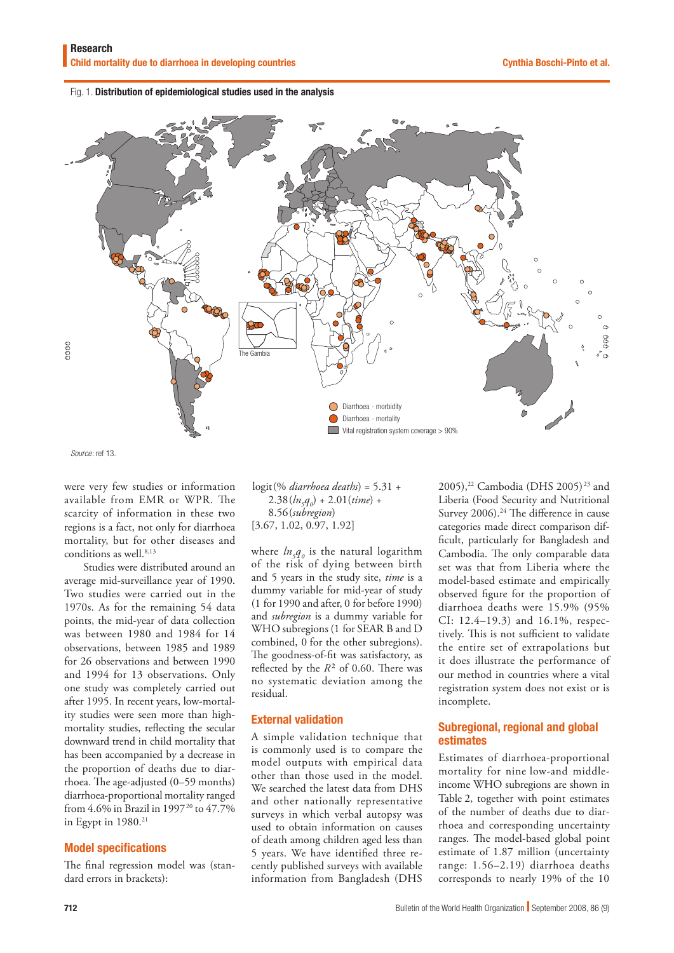Fig. 1. Distribution of epidemiological studies used in the analysis



*Source*: ref 13.

were very few studies or information available from EMR or WPR. The scarcity of information in these two regions is a fact, not only for diarrhoea mortality, but for other diseases and conditions as well.<sup>8,13</sup>

Studies were distributed around an average mid-surveillance year of 1990. Two studies were carried out in the 1970s. As for the remaining 54 data points, the mid-year of data collection was between 1980 and 1984 for 14 observations, between 1985 and 1989 for 26 observations and between 1990 and 1994 for 13 observations. Only one study was completely carried out after 1995. In recent years, low-mortality studies were seen more than highmortality studies, reflecting the secular downward trend in child mortality that has been accompanied by a decrease in the proportion of deaths due to diarrhoea. The age-adjusted (0–59 months) diarrhoea-proportional mortality ranged from 4.6% in Brazil in 1997<sup>20</sup> to 47.7% in Egypt in  $1980.<sup>21</sup>$ 

## Model specifications

The final regression model was (standard errors in brackets):

logit(% *diarrhoea deaths*) = 5.31 +  $2.38(h_5q_0) + 2.01(time) +$ 8.56(*subregion*) [3.67, 1.02, 0.97, 1.92]

where  $ln_5q_0$  is the natural logarithm of the risk of dying between birth and 5 years in the study site, *time* is a dummy variable for mid-year of study (1 for 1990 and after, 0 for before 1990) and *subregion* is a dummy variable for WHO subregions (1 for SEAR B and D combined, 0 for the other subregions). The goodness-of-fit was satisfactory, as reflected by the *R*² of 0.60. There was no systematic deviation among the residual.

## External validation

A simple validation technique that is commonly used is to compare the model outputs with empirical data other than those used in the model. We searched the latest data from DHS and other nationally representative surveys in which verbal autopsy was used to obtain information on causes of death among children aged less than 5 years. We have identified three recently published surveys with available information from Bangladesh (DHS

2005),<sup>22</sup> Cambodia (DHS 2005)<sup>23</sup> and Liberia (Food Security and Nutritional Survey 2006).<sup>24</sup> The difference in cause categories made direct comparison difficult, particularly for Bangladesh and Cambodia. The only comparable data set was that from Liberia where the model-based estimate and empirically observed figure for the proportion of diarrhoea deaths were 15.9% (95% CI: 12.4–19.3) and 16.1%, respectively. This is not sufficient to validate the entire set of extrapolations but it does illustrate the performance of our method in countries where a vital registration system does not exist or is incomplete.

# Subregional, regional and global estimates

Estimates of diarrhoea-proportional mortality for nine low-and middleincome WHO subregions are shown in Table 2, together with point estimates of the number of deaths due to diarrhoea and corresponding uncertainty ranges. The model-based global point estimate of 1.87 million (uncertainty range: 1.56–2.19) diarrhoea deaths corresponds to nearly 19% of the 10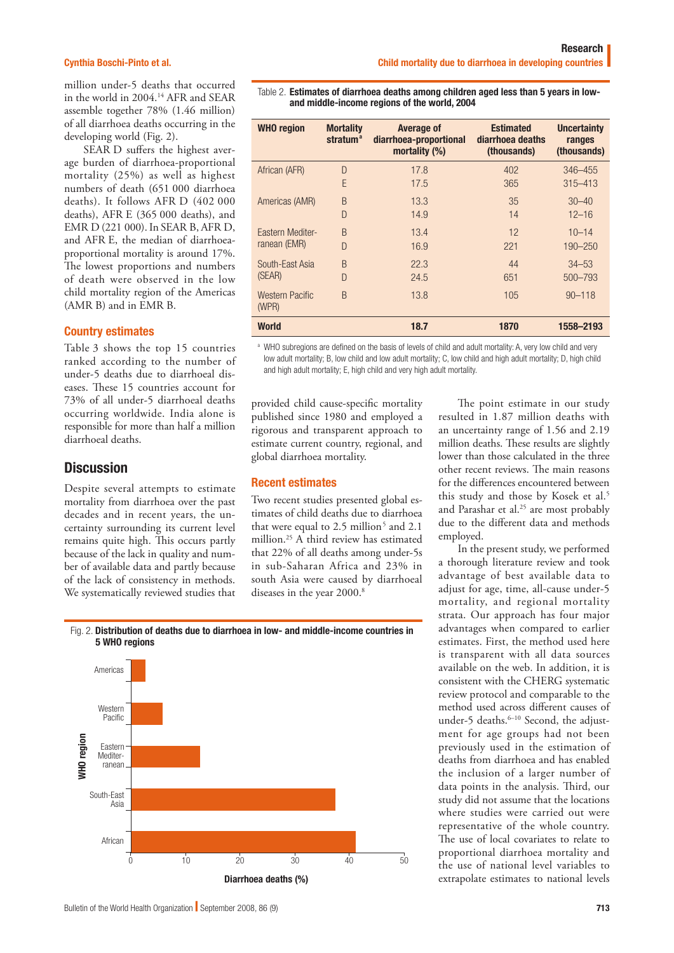#### Cynthia Boschi-Pinto et al.

million under-5 deaths that occurred in the world in 2004.14 AFR and SEAR assemble together 78% (1.46 million) of all diarrhoea deaths occurring in the developing world (Fig. 2).

SEAR D suffers the highest average burden of diarrhoea-proportional mortality (25%) as well as highest numbers of death (651 000 diarrhoea deaths). It follows AFR D (402 000 deaths), AFR E (365 000 deaths), and EMR D (221 000). In SEAR B, AFR D, and AFR E, the median of diarrhoeaproportional mortality is around 17%. The lowest proportions and numbers of death were observed in the low child mortality region of the Americas (AMR B) and in EMR B.

#### Country estimates

Table 3 shows the top 15 countries ranked according to the number of under-5 deaths due to diarrhoeal diseases. These 15 countries account for 73% of all under-5 diarrhoeal deaths occurring worldwide. India alone is responsible for more than half a million diarrhoeal deaths.

# **Discussion**

Despite several attempts to estimate mortality from diarrhoea over the past decades and in recent years, the uncertainty surrounding its current level remains quite high. This occurs partly because of the lack in quality and number of available data and partly because of the lack of consistency in methods. We systematically reviewed studies that

Table 2. Estimates of diarrhoea deaths among children aged less than 5 years in lowand middle-income regions of the world, 2004

| <b>WHO</b> region               | <b>Mortality</b><br>stratum <sup>a</sup> | <b>Average of</b><br>diarrhoea-proportional<br>mortality $(\%)$ | <b>Estimated</b><br>diarrhoea deaths<br>(thousands) | <b>Uncertainty</b><br>ranges<br>(thousands) |
|---------------------------------|------------------------------------------|-----------------------------------------------------------------|-----------------------------------------------------|---------------------------------------------|
| African (AFR)                   | D                                        | 17.8                                                            | 402                                                 | $346 - 455$                                 |
|                                 | F                                        | 17.5                                                            | 365                                                 | $315 - 413$                                 |
| Americas (AMR)                  | B                                        | 13.3                                                            | 35                                                  | $30 - 40$                                   |
|                                 | $\Box$                                   | 14.9                                                            | 14                                                  | $12 - 16$                                   |
| Eastern Mediter-                | <sub>B</sub>                             | 13.4                                                            | 12                                                  | $10 - 14$                                   |
| ranean (EMR)                    | $\Box$                                   | 16.9                                                            | 221                                                 | 190-250                                     |
| South-East Asia                 | <sub>B</sub>                             | 22.3                                                            | 44                                                  | $34 - 53$                                   |
| (SEAR)                          | $\Box$                                   | 24.5                                                            | 651                                                 | 500-793                                     |
| <b>Western Pacific</b><br>(WPR) | <sub>B</sub>                             | 13.8                                                            | 105                                                 | $90 - 118$                                  |
| <b>World</b>                    |                                          | 18.7                                                            | 1870                                                | 1558-2193                                   |

a WHO subregions are defined on the basis of levels of child and adult mortality: A, very low child and very low adult mortality; B, low child and low adult mortality; C, low child and high adult mortality; D, high child and high adult mortality; E, high child and very high adult mortality.

provided child cause-specific mortality published since 1980 and employed a rigorous and transparent approach to estimate current country, regional, and global diarrhoea mortality.

#### Recent estimates

Two recent studies presented global estimates of child deaths due to diarrhoea that were equal to 2.5 million<sup>5</sup> and 2.1 million.25 A third review has estimated that 22% of all deaths among under-5s in sub-Saharan Africa and 23% in south Asia were caused by diarrhoeal diseases in the year 2000.<sup>8</sup>

The point estimate in our study resulted in 1.87 million deaths with an uncertainty range of 1.56 and 2.19 million deaths. These results are slightly lower than those calculated in the three other recent reviews. The main reasons for the differences encountered between this study and those by Kosek et al.<sup>5</sup> and Parashar et al.<sup>25</sup> are most probably due to the different data and methods employed.

In the present study, we performed a thorough literature review and took advantage of best available data to adjust for age, time, all-cause under-5 mortality, and regional mortality strata. Our approach has four major advantages when compared to earlier estimates. First, the method used here is transparent with all data sources available on the web. In addition, it is consistent with the CHERG systematic review protocol and comparable to the method used across different causes of under-5 deaths.<sup>6-10</sup> Second, the adjustment for age groups had not been previously used in the estimation of deaths from diarrhoea and has enabled the inclusion of a larger number of data points in the analysis. Third, our study did not assume that the locations where studies were carried out were representative of the whole country. The use of local covariates to relate to proportional diarrhoea mortality and the use of national level variables to extrapolate estimates to national levels

#### Fig. 2. Distribution of deaths due to diarrhoea in low- and middle-income countries in 5 WHO regions

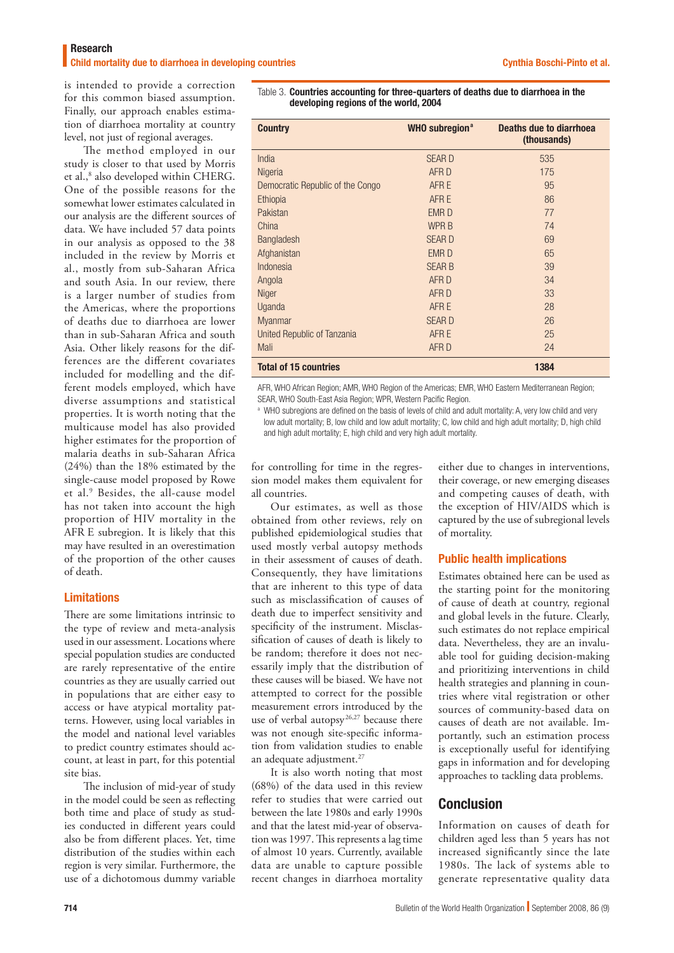is intended to provide a correction for this common biased assumption. Finally, our approach enables estimation of diarrhoea mortality at country level, not just of regional averages.

The method employed in our study is closer to that used by Morris et al.,<sup>8</sup> also developed within CHERG. One of the possible reasons for the somewhat lower estimates calculated in our analysis are the different sources of data. We have included 57 data points in our analysis as opposed to the 38 included in the review by Morris et al., mostly from sub-Saharan Africa and south Asia. In our review, there is a larger number of studies from the Americas, where the proportions of deaths due to diarrhoea are lower than in sub-Saharan Africa and south Asia. Other likely reasons for the differences are the different covariates included for modelling and the different models employed, which have diverse assumptions and statistical properties. It is worth noting that the multicause model has also provided higher estimates for the proportion of malaria deaths in sub-Saharan Africa (24%) than the 18% estimated by the single-cause model proposed by Rowe et al.9 Besides, the all-cause model has not taken into account the high proportion of HIV mortality in the AFR E subregion. It is likely that this may have resulted in an overestimation of the proportion of the other causes of death.

## Limitations

There are some limitations intrinsic to the type of review and meta-analysis used in our assessment. Locations where special population studies are conducted are rarely representative of the entire countries as they are usually carried out in populations that are either easy to access or have atypical mortality patterns. However, using local variables in the model and national level variables to predict country estimates should account, at least in part, for this potential site bias.

The inclusion of mid-year of study in the model could be seen as reflecting both time and place of study as studies conducted in different years could also be from different places. Yet, time distribution of the studies within each region is very similar. Furthermore, the use of a dichotomous dummy variable

Table 3. Countries accounting for three-quarters of deaths due to diarrhoea in the developing regions of the world, 2004

| <b>Country</b>                   | <b>WHO subregion<sup>a</sup></b> | Deaths due to diarrhoea<br>(thousands) |
|----------------------------------|----------------------------------|----------------------------------------|
| India                            | <b>SEARD</b>                     | 535                                    |
| Nigeria                          | AFR D                            | 175                                    |
| Democratic Republic of the Congo | AFR E                            | 95                                     |
| Ethiopia                         | AFR E                            | 86                                     |
| Pakistan                         | <b>EMRD</b>                      | 77                                     |
| China                            | <b>WPRB</b>                      | 74                                     |
| Bangladesh                       | <b>SEARD</b>                     | 69                                     |
| Afghanistan                      | <b>EMRD</b>                      | 65                                     |
| Indonesia                        | <b>SEAR B</b>                    | 39                                     |
| Angola                           | AFR D                            | 34                                     |
| <b>Niger</b>                     | AFR D                            | 33                                     |
| Uganda                           | AFR E                            | 28                                     |
| <b>Myanmar</b>                   | <b>SEARD</b>                     | 26                                     |
| United Republic of Tanzania      | AFR E                            | 25                                     |
| Mali                             | AFR D                            | 24                                     |
| <b>Total of 15 countries</b>     |                                  | 1384                                   |

AFR, WHO African Region; AMR, WHO Region of the Americas; EMR, WHO Eastern Mediterranean Region; SEAR, WHO South-East Asia Region; WPR, Western Pacific Region.

a WHO subregions are defined on the basis of levels of child and adult mortality: A, very low child and very low adult mortality; B, low child and low adult mortality; C, low child and high adult mortality; D, high child and high adult mortality; E, high child and very high adult mortality.

for controlling for time in the regression model makes them equivalent for all countries.

Our estimates, as well as those obtained from other reviews, rely on published epidemiological studies that used mostly verbal autopsy methods in their assessment of causes of death. Consequently, they have limitations that are inherent to this type of data such as misclassification of causes of death due to imperfect sensitivity and specificity of the instrument. Misclassification of causes of death is likely to be random; therefore it does not necessarily imply that the distribution of these causes will be biased. We have not attempted to correct for the possible measurement errors introduced by the use of verbal autopsy<sup>26,27</sup> because there was not enough site-specific information from validation studies to enable an adequate adjustment.<sup>27</sup>

It is also worth noting that most (68%) of the data used in this review refer to studies that were carried out between the late 1980s and early 1990s and that the latest mid-year of observation was 1997. This represents a lag time of almost 10 years. Currently, available data are unable to capture possible recent changes in diarrhoea mortality

either due to changes in interventions, their coverage, or new emerging diseases and competing causes of death, with the exception of HIV/AIDS which is captured by the use of subregional levels of mortality.

## Public health implications

Estimates obtained here can be used as the starting point for the monitoring of cause of death at country, regional and global levels in the future. Clearly, such estimates do not replace empirical data. Nevertheless, they are an invaluable tool for guiding decision-making and prioritizing interventions in child health strategies and planning in countries where vital registration or other sources of community-based data on causes of death are not available. Importantly, such an estimation process is exceptionally useful for identifying gaps in information and for developing approaches to tackling data problems.

# Conclusion

Information on causes of death for children aged less than 5 years has not increased significantly since the late 1980s. The lack of systems able to generate representative quality data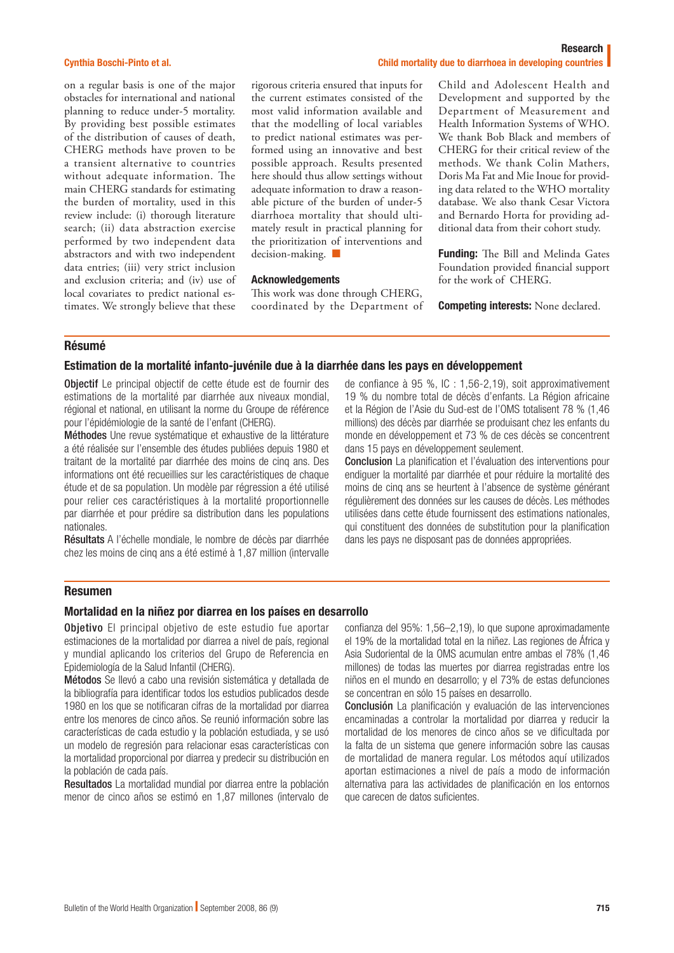#### Cynthia Boschi-Pinto et al.

on a regular basis is one of the major obstacles for international and national planning to reduce under-5 mortality. By providing best possible estimates of the distribution of causes of death, CHERG methods have proven to be a transient alternative to countries without adequate information. The main CHERG standards for estimating the burden of mortality, used in this review include: (i) thorough literature search; (ii) data abstraction exercise performed by two independent data abstractors and with two independent data entries; (iii) very strict inclusion and exclusion criteria; and (iv) use of local covariates to predict national estimates. We strongly believe that these

#### Research Child mortality due to diarrhoea in developing countries

rigorous criteria ensured that inputs for the current estimates consisted of the most valid information available and that the modelling of local variables to predict national estimates was performed using an innovative and best possible approach. Results presented here should thus allow settings without adequate information to draw a reasonable picture of the burden of under-5 diarrhoea mortality that should ultimately result in practical planning for the prioritization of interventions and decision-making. ■

#### Acknowledgements

This work was done through CHERG, coordinated by the Department of Child and Adolescent Health and Development and supported by the Department of Measurement and Health Information Systems of WHO. We thank Bob Black and members of CHERG for their critical review of the methods. We thank Colin Mathers, Doris Ma Fat and Mie Inoue for providing data related to the WHO mortality database. We also thank Cesar Victora and Bernardo Horta for providing additional data from their cohort study.

Funding: The Bill and Melinda Gates Foundation provided financial support for the work of CHERG.

Competing interests: None declared.

#### Résumé

#### Estimation de la mortalité infanto-juvénile due à la diarrhée dans les pays en développement

Objectif Le principal objectif de cette étude est de fournir des estimations de la mortalité par diarrhée aux niveaux mondial, régional et national, en utilisant la norme du Groupe de référence pour l'épidémiologie de la santé de l'enfant (CHERG).

Méthodes Une revue systématique et exhaustive de la littérature a été réalisée sur l'ensemble des études publiées depuis 1980 et traitant de la mortalité par diarrhée des moins de cinq ans. Des informations ont été recueillies sur les caractéristiques de chaque étude et de sa population. Un modèle par régression a été utilisé pour relier ces caractéristiques à la mortalité proportionnelle par diarrhée et pour prédire sa distribution dans les populations nationales.

Résultats A l'échelle mondiale, le nombre de décès par diarrhée chez les moins de cinq ans a été estimé à 1,87 million (intervalle de confiance à 95 %, IC : 1,56-2,19), soit approximativement 19 % du nombre total de décès d'enfants. La Région africaine et la Région de l'Asie du Sud-est de l'OMS totalisent 78 % (1,46 millions) des décès par diarrhée se produisant chez les enfants du monde en développement et 73 % de ces décès se concentrent dans 15 pays en développement seulement.

Conclusion La planification et l'évaluation des interventions pour endiguer la mortalité par diarrhée et pour réduire la mortalité des moins de cinq ans se heurtent à l'absence de système générant régulièrement des données sur les causes de décès. Les méthodes utilisées dans cette étude fournissent des estimations nationales, qui constituent des données de substitution pour la planification dans les pays ne disposant pas de données appropriées.

## Resumen

#### Mortalidad en la niñez por diarrea en los países en desarrollo

Objetivo El principal objetivo de este estudio fue aportar estimaciones de la mortalidad por diarrea a nivel de país, regional y mundial aplicando los criterios del Grupo de Referencia en Epidemiología de la Salud Infantil (CHERG).

Métodos Se llevó a cabo una revisión sistemática y detallada de la bibliografía para identificar todos los estudios publicados desde 1980 en los que se notificaran cifras de la mortalidad por diarrea entre los menores de cinco años. Se reunió información sobre las características de cada estudio y la población estudiada, y se usó un modelo de regresión para relacionar esas características con la mortalidad proporcional por diarrea y predecir su distribución en la población de cada país.

Resultados La mortalidad mundial por diarrea entre la población menor de cinco años se estimó en 1,87 millones (intervalo de confianza del 95%: 1,56–2,19), lo que supone aproximadamente el 19% de la mortalidad total en la niñez. Las regiones de África y Asia Sudoriental de la OMS acumulan entre ambas el 78% (1,46 millones) de todas las muertes por diarrea registradas entre los niños en el mundo en desarrollo; y el 73% de estas defunciones se concentran en sólo 15 países en desarrollo.

Conclusión La planificación y evaluación de las intervenciones encaminadas a controlar la mortalidad por diarrea y reducir la mortalidad de los menores de cinco años se ve dificultada por la falta de un sistema que genere información sobre las causas de mortalidad de manera regular. Los métodos aquí utilizados aportan estimaciones a nivel de país a modo de información alternativa para las actividades de planificación en los entornos que carecen de datos suficientes.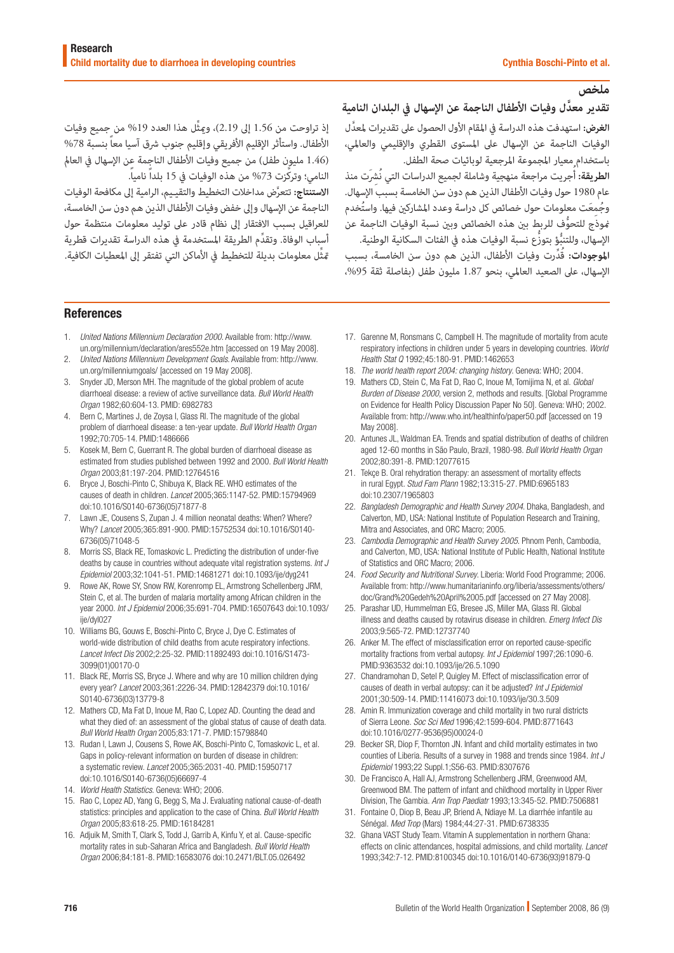# **ملخص**

# **َّ تقدير معدل وفيات األطفال الناجمة عن اإلسهال يف البلدان النامية**

ا**لغرض:** استهدفت هذه الدراسة في المقام الأول الحصول على تقديرات لمعدَّل الوفيات الناجمة عن اإلسهال عىل املستوى القطري واإلقليمي والعاملي، باستخدام معيار املجموعة املرجعية لوبائيات صحة الطفل.

ا**لطريقة:** أُجريت مراجعة منهجية وشاملة لجميع الدراسات التي نُشِرَت منذ عام 1980 حول وفيات الأطفال الذين هم دون سن الخامسة بسبب الإسهال. وجُمعَت معلومات حول خصائص كل دراسة وعدد المشاركين فيها. واستُخدم ُّ منوذج للتحوف للربط بني هذه الخصائص وبني نسبة الوفيات الناجمة عن الإسهال، وللتنبُّؤ بتوزَّع نسبة الوفيات هذه في الفئات السكانية الوطنية.

**املوجودات:** ُ قِّدرت وفيات األطفال، الذين هم دون سن الخامسة، بسبب الإسهال، على الصعيد العالمي، بنحو 1.87 مليون طفل (بفاصلة ثقة 95%،

إذ تراوحت من 1.56 إىل 2.19 ِّ (، وميثل هذا العدد %19 من جميع وفيات الأطفال. واستأثر الإقليم الأفريقي وإقليم جنوب شرق آسيا معاً بنسبة 78% (1.46 مليون طفل) من جميع وفيات الأطفال الناجمة عن الإسهال في العالم النامي؛ وتركّزت 73% من هذه الوفيات في 15 بلداً نامياً.

**االستنتاج:** َّ تتعرض مداخالت التخطيط والتقيـيم، الرامية إىل مكافحة الوفيات الناجمة عن الإسهال وإلى خفض وفيات الأطفال الذين هم دون سن الخامسة، للعراقيل بسبب االفتقار إىل نظام قادر عىل توليد معلومات منتظمة حول ِّ أسباب الوفاة. وتقدم الطريقة املستخدمة يف هذه الدراسة تقديرات قطرية ِّمتثل معلومات بديلة للتخطيط يف األماكن التي تفتقر إىل املعطيات الكافية.

#### References

- 1. *United Nations Millennium Declaration 2000*. Available from: [http://www.](http://www.un.org/millennium/declaration/ares552e.htm) [un.org/millennium/declaration/ares552e.htm](http://www.un.org/millennium/declaration/ares552e.htm) [accessed on 19 May 2008].
- 2. *United Nations Millennium Development Goals*. Available from: [http://www.](http://www.un.org/millenniumgoals/) [un.org/millenniumgoals/](http://www.un.org/millenniumgoals/) [accessed on 19 May 2008].
- 3. Snyder JD, Merson MH. The magnitude of the global problem of acute diarrhoeal disease: a review of active surveillance data. *Bull World Health Organ* 1982;60:604-13. [PMID: 6982783](http://www.ncbi.nlm.nih.gov/pubmed/6982783)
- 4. Bern C, Martines J, de Zoysa I, Glass RI. The magnitude of the global problem of diarrhoeal disease: a ten-year update. *Bull World Health Organ* 1992;70:705-14. [PMID:1486666](http://www.ncbi.nlm.nih.gov/sites/entrez?cmd=Retrieve&db=PubMed&list_uids=1486666&dopt=Abstract)
- 5. Kosek M, Bern C, Guerrant R. The global burden of diarrhoeal disease as estimated from studies published between 1992 and 2000. *Bull World Health Organ* 2003;81:197-204. [PMID:12764516](http://www.ncbi.nlm.nih.gov/sites/entrez?cmd=Retrieve&db=PubMed&list_uids=12764516&dopt=Abstract)
- 6. Bryce J, Boschi-Pinto C, Shibuya K, Black RE. WHO estimates of the causes of death in children. *Lancet* 2005;365:1147-52. [PMID:15794969](http://www.ncbi.nlm.nih.gov/sites/entrez?cmd=Retrieve&db=PubMed&list_uids=15794969&dopt=Abstract) [doi:10.1016/S0140-6736\(05\)71877-8](http://dx.doi.org/10.1016/S0140-6736(05)71877-8)
- 7. Lawn JE, Cousens S, Zupan J. 4 million neonatal deaths: When? Where? Why? *Lancet* 2005;365:891-900. [PMID:15752534](http://www.ncbi.nlm.nih.gov/sites/entrez?cmd=Retrieve&db=PubMed&list_uids=15752534&dopt=Abstract) [doi:10.1016/S0140-](http://dx.doi.org/10.1016/S0140-6736(05)71048-5) [6736\(05\)71048-5](http://dx.doi.org/10.1016/S0140-6736(05)71048-5)
- 8. Morris SS, Black RE, Tomaskovic L. Predicting the distribution of under-five deaths by cause in countries without adequate vital registration systems. *Int J Epidemiol* 2003;32:1041-51. [PMID:14681271](http://www.ncbi.nlm.nih.gov/sites/entrez?cmd=Retrieve&db=PubMed&list_uids=14681271&dopt=Abstract) [doi:10.1093/ije/dyg241](http://dx.doi.org/10.1093/ije/dyg241)
- 9. Rowe AK, Rowe SY, Snow RW, Korenromp EL, Armstrong Schellenberg JRM, Stein C, et al. The burden of malaria mortality among African children in the year 2000. *Int J Epidemiol* 2006;35:691-704. [PMID:16507643](http://www.ncbi.nlm.nih.gov/sites/entrez?cmd=Retrieve&db=PubMed&list_uids=16507643&dopt=Abstract) [doi:10.1093/](http://dx.doi.org/10.1093/ije/dyl027) ije/dvl027
- 10. Williams BG, Gouws E, Boschi-Pinto C, Bryce J, Dye C. Estimates of world-wide distribution of child deaths from acute respiratory infections. *Lancet Infect Dis* 2002;2:25-32. [PMID:11892493](http://www.ncbi.nlm.nih.gov/sites/entrez?cmd=Retrieve&db=PubMed&list_uids=11892493&dopt=Abstract) [doi:10.1016/S1473-](http://dx.doi.org/10.1016/S1473-3099(01)00170-0) [3099\(01\)00170-0](http://dx.doi.org/10.1016/S1473-3099(01)00170-0)
- 11. Black RE, Morris SS, Bryce J. Where and why are 10 million children dying every year? *Lancet* 2003;361:2226-34. [PMID:12842379](http://www.ncbi.nlm.nih.gov/sites/entrez?cmd=Retrieve&db=PubMed&list_uids=12842379&dopt=Abstract) [doi:10.1016/](http://dx.doi.org/10.1016/S0140-6736(03)13779-8) [S0140-6736\(03\)13779-8](http://dx.doi.org/10.1016/S0140-6736(03)13779-8)
- 12. Mathers CD, Ma Fat D, Inoue M, Rao C, Lopez AD. Counting the dead and what they died of: an assessment of the global status of cause of death data. *Bull World Health Organ* 2005;83:171-7. [PMID:15798840](http://www.ncbi.nlm.nih.gov/sites/entrez?cmd=Retrieve&db=PubMed&list_uids=15798840&dopt=Abstract)
- 13. Rudan I, Lawn J, Cousens S, Rowe AK, Boschi-Pinto C, Tomaskovic L, et al. Gaps in policy-relevant information on burden of disease in children: a systematic review. *Lancet* 2005;365:2031-40. [PMID:15950717](http://www.ncbi.nlm.nih.gov/sites/entrez?cmd=Retrieve&db=PubMed&list_uids=15950717&dopt=Abstract) [doi:10.1016/S0140-6736\(05\)66697-4](http://dx.doi.org/10.1016/S0140-6736(05)66697-4)
- 14. *World Health Statistics*. Geneva: WHO; 2006.
- 15. Rao C, Lopez AD, Yang G, Begg S, Ma J. Evaluating national cause-of-death statistics: principles and application to the case of China. *Bull World Health Organ* 2005;83:618-25. [PMID:16184281](http://www.ncbi.nlm.nih.gov/sites/entrez?cmd=Retrieve&db=PubMed&list_uids=16184281&dopt=Abstract)
- 16. Adjuik M, Smith T, Clark S, Todd J, Garrib A, Kinfu Y, et al. Cause-specific mortality rates in sub-Saharan Africa and Bangladesh. *Bull World Health Organ* 2006;84:181-8. [PMID:16583076](http://www.ncbi.nlm.nih.gov/sites/entrez?cmd=Retrieve&db=PubMed&list_uids=16583076&dopt=Abstract) [doi:10.2471/BLT.05.026492](http://dx.doi.org/10.2471/BLT.05.026492)
- 17. Garenne M, Ronsmans C, Campbell H. The magnitude of mortality from acute respiratory infections in children under 5 years in developing countries. *World Health Stat Q* 1992;45:180-91. [PMID:1462653](http://www.ncbi.nlm.nih.gov/sites/entrez?cmd=Retrieve&db=PubMed&list_uids=1462653&dopt=Abstract)
- 18. *The world health report 2004: changing history*. Geneva: WHO; 2004.
- 19. Mathers CD, Stein C, Ma Fat D, Rao C, Inoue M, Tomijima N, et al. *Global Burden of Disease 2000*, version 2, methods and results. [Global Programme on Evidence for Health Policy Discussion Paper No 50]. Geneva: WHO; 2002. Available from:<http://www.who.int/healthinfo/paper50.pdf> [accessed on 19 May 2008].
- 20. Antunes JL, Waldman EA. Trends and spatial distribution of deaths of children aged 12-60 months in São Paulo, Brazil, 1980-98. *Bull World Health Organ* 2002;80:391-8. [PMID:12077615](http://www.ncbi.nlm.nih.gov/sites/entrez?cmd=Retrieve&db=PubMed&list_uids=12077615&dopt=Abstract)
- 21. Tekçe B. Oral rehydration therapy: an assessment of mortality effects in rural Egypt. *Stud Fam Plann* 1982;13:315-27. [PMID:6965183](http://www.ncbi.nlm.nih.gov/sites/entrez?cmd=Retrieve&db=PubMed&list_uids=6965183&dopt=Abstract) [doi:10.2307/1965803](http://dx.doi.org/10.2307/1965803)
- 22. *Bangladesh Demographic and Health Survey 2004*. Dhaka, Bangladesh, and Calverton, MD, USA: National Institute of Population Research and Training, Mitra and Associates, and ORC Macro; 2005.
- 23. *Cambodia Demographic and Health Survey 2005*. Phnom Penh, Cambodia, and Calverton, MD, USA: National Institute of Public Health, National Institute of Statistics and ORC Macro; 2006.
- 24. *Food Security and Nutritional Survey*. Liberia: World Food Programme; 2006. Available from: http://www.humanitarianinfo.org/liberia/assessments/others/ doc/Grand%20Gedeh%20April%2005.pdf [accessed on 27 May 2008].
- 25. Parashar UD, Hummelman EG, Bresee JS, Miller MA, Glass RI. Global illness and deaths caused by rotavirus disease in children. *Emerg Infect Dis* 2003;9:565-72. [PMID:12737740](http://www.ncbi.nlm.nih.gov/sites/entrez?cmd=Retrieve&db=PubMed&list_uids=12737740&dopt=Abstract)
- 26. Anker M. The effect of misclassification error on reported cause-specific mortality fractions from verbal autopsy. *Int J Epidemiol* 1997;26:1090-6. [PMID:9363532](http://www.ncbi.nlm.nih.gov/sites/entrez?cmd=Retrieve&db=PubMed&list_uids=9363532&dopt=Abstract) [doi:10.1093/ije/26.5.1090](http://dx.doi.org/10.1093/ije/26.5.1090)
- 27. Chandramohan D, Setel P, Quigley M. Effect of misclassification error of causes of death in verbal autopsy: can it be adjusted? *Int J Epidemiol* 2001;30:509-14. [PMID:11416073](http://www.ncbi.nlm.nih.gov/sites/entrez?cmd=Retrieve&db=PubMed&list_uids=11416073&dopt=Abstract) [doi:10.1093/ije/30.3.509](http://dx.doi.org/10.1093/ije/30.3.509)
- 28. Amin R. Immunization coverage and child mortality in two rural districts of Sierra Leone. *Soc Sci Med* 1996;42:1599-604. [PMID:8771643](http://www.ncbi.nlm.nih.gov/sites/entrez?cmd=Retrieve&db=PubMed&list_uids=8771643&dopt=Abstract) [doi:10.1016/0277-9536\(95\)00024-0](http://dx.doi.org/10.1016/0277-9536(95)00024-0)
- 29. Becker SR, Diop F, Thornton JN. Infant and child mortality estimates in two counties of Liberia. Results of a survey in 1988 and trends since 1984. *Int J Epidemiol* 1993;22 Suppl.1;S56-63. [PMID:8307676](http://www.ncbi.nlm.nih.gov/sites/entrez?cmd=Retrieve&db=PubMed&list_uids=8307676&dopt=Abstract)
- 30. De Francisco A, Hall AJ, Armstrong Schellenberg JRM, Greenwood AM, Greenwood BM. The pattern of infant and childhood mortality in Upper River Division, The Gambia. *Ann Trop Paediatr* 1993;13:345-52. [PMID:7506881](http://www.ncbi.nlm.nih.gov/sites/entrez?cmd=Retrieve&db=PubMed&list_uids=7506881&dopt=Abstract)
- 31. Fontaine O, Diop B, Beau JP, Briend A, Ndiaye M. La diarrhée infantile au Sénégal. *Med Trop* (Mars) 1984;44:27-31. [PMID:6738335](http://www.ncbi.nlm.nih.gov/sites/entrez?cmd=Retrieve&db=PubMed&list_uids=6738335&dopt=Abstract)
- 32. Ghana VAST Study Team. Vitamin A supplementation in northern Ghana: effects on clinic attendances, hospital admissions, and child mortality. *Lancet* 1993;342:7-12. [PMID:8100345](http://www.ncbi.nlm.nih.gov/sites/entrez?cmd=Retrieve&db=PubMed&list_uids=8100345&dopt=Abstract) [doi:10.1016/0140-6736\(93\)91879-Q](http://dx.doi.org/10.1016/0140-6736(93)91879-Q)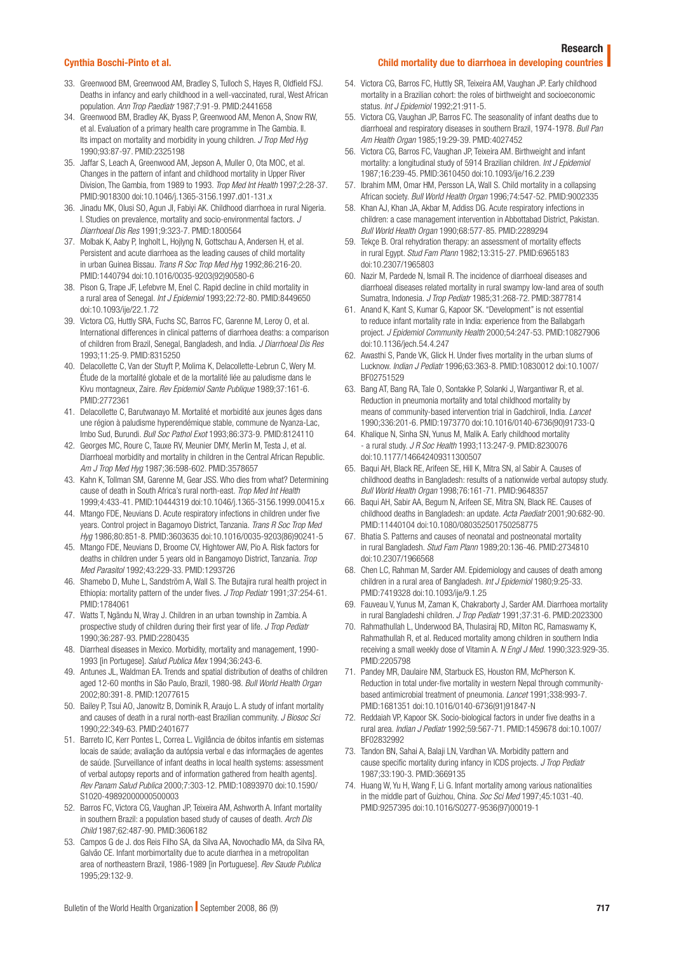#### Research

#### Cynthia Boschi-Pinto et al.

- Child mortality due to diarrhoea in developing countries
- 33. Greenwood BM, Greenwood AM, Bradley S, Tulloch S, Hayes R, Oldfield FSJ. Deaths in infancy and early childhood in a well-vaccinated, rural, West African population. *Ann Trop Paediatr* 1987;7:91-9. [PMID:2441658](http://www.ncbi.nlm.nih.gov/sites/entrez?cmd=Retrieve&db=PubMed&list_uids=2441658&dopt=Abstract)
- 34. Greenwood BM, Bradley AK, Byass P, Greenwood AM, Menon A, Snow RW, et al. Evaluation of a primary health care programme in The Gambia. II. Its impact on mortality and morbidity in young children. *J Trop Med Hyg* 1990;93:87-97. [PMID:2325198](http://www.ncbi.nlm.nih.gov/sites/entrez?cmd=Retrieve&db=PubMed&list_uids=2325198&dopt=Abstract)
- 35. Jaffar S, Leach A, Greenwood AM, Jepson A, Muller O, Ota MOC, et al. Changes in the pattern of infant and childhood mortality in Upper River Division, The Gambia, from 1989 to 1993. *Trop Med Int Health* 1997;2:28-37. [PMID:9018300](http://www.ncbi.nlm.nih.gov/sites/entrez?cmd=Retrieve&db=PubMed&list_uids=9018300&dopt=Abstract) [doi:10.1046/j.1365-3156.1997.d01-131.x](http://dx.doi.org/10.1046/j.1365-3156.1997.d01-131.x)
- 36. Jinadu MK, Olusi SO, Agun JI, Fabiyi AK. Childhood diarrhoea in rural Nigeria. I. Studies on prevalence, mortality and socio-environmental factors. *J Diarrhoeal Dis Res* 1991;9:323-7. [PMID:1800564](http://www.ncbi.nlm.nih.gov/sites/entrez?cmd=Retrieve&db=PubMed&list_uids=1800564&dopt=Abstract)
- 37. Molbak K, Aaby P, Ingholt L, Hojlyng N, Gottschau A, Andersen H, et al. Persistent and acute diarrhoea as the leading causes of child mortality in urban Guinea Bissau. *Trans R Soc Trop Med Hyg* 1992;86:216-20. [PMID:1440794](http://www.ncbi.nlm.nih.gov/sites/entrez?cmd=Retrieve&db=PubMed&list_uids=1440794&dopt=Abstract) [doi:10.1016/0035-9203\(92\)90580-6](http://dx.doi.org/10.1016/0035-9203(92)90580-6)
- 38. Pison G, Trape JF, Lefebvre M, Enel C. Rapid decline in child mortality in a rural area of Senegal. *Int J Epidemiol* 1993;22:72-80. [PMID:8449650](http://www.ncbi.nlm.nih.gov/sites/entrez?cmd=Retrieve&db=PubMed&list_uids=8449650&dopt=Abstract) [doi:10.1093/ije/22.1.72](http://dx.doi.org/10.1093/ije/22.1.72)
- 39. Victora CG, Huttly SRA, Fuchs SC, Barros FC, Garenne M, Leroy O, et al. International differences in clinical patterns of diarrhoea deaths: a comparison of children from Brazil, Senegal, Bangladesh, and India. *J Diarrhoeal Dis Res* 1993;11:25-9. [PMID:8315250](http://www.ncbi.nlm.nih.gov/sites/entrez?cmd=Retrieve&db=PubMed&list_uids=8315250&dopt=Abstract)
- 40. Delacollette C, Van der Stuyft P, Molima K, Delacollette-Lebrun C, Wery M. Étude de la mortalité globale et de la mortalité liée au paludisme dans le Kivu montagneux, Zaire. *Rev Epidemiol Sante Publique* 1989;37:161-6. [PMID:2772361](http://www.ncbi.nlm.nih.gov/sites/entrez?cmd=Retrieve&db=PubMed&list_uids=2772361&dopt=Abstract)
- 41. Delacollette C, Barutwanayo M. Mortalité et morbidité aux jeunes âges dans une région à paludisme hyperendémique stable, commune de Nyanza-Lac, Imbo Sud, Burundi. *Bull Soc Pathol Exot* 1993;86:373-9. [PMID:8124110](http://www.ncbi.nlm.nih.gov/sites/entrez?cmd=Retrieve&db=PubMed&list_uids=8124110&dopt=Abstract)
- 42. Georges MC, Roure C, Tauxe RV, Meunier DMY, Merlin M, Testa J, et al. Diarrhoeal morbidity and mortality in children in the Central African Republic. *Am J Trop Med Hyg* 1987;36:598-602. [PMID:3578657](http://www.ncbi.nlm.nih.gov/sites/entrez?cmd=Retrieve&db=PubMed&list_uids=3578657&dopt=Abstract)
- 43. Kahn K, Tollman SM, Garenne M, Gear JSS. Who dies from what? Determining cause of death in South Africa's rural north-east. *Trop Med Int Health* 1999;4:433-41. [PMID:10444319](http://www.ncbi.nlm.nih.gov/sites/entrez?cmd=Retrieve&db=PubMed&list_uids=10444319&dopt=Abstract) [doi:10.1046/j.1365-3156.1999.00415.x](http://dx.doi.org/10.1046/j.1365-3156.1999.00415.x)
- 44. Mtango FDE, Neuvians D. Acute respiratory infections in children under five years. Control project in Bagamoyo District, Tanzania. *Trans R Soc Trop Med Hyg* 1986;80:851-8. [PMID:3603635](http://www.ncbi.nlm.nih.gov/sites/entrez?cmd=Retrieve&db=PubMed&list_uids=3603635&dopt=Abstract) [doi:10.1016/0035-9203\(86\)90241-5](http://dx.doi.org/10.1016/0035-9203(86)90241-5)
- 45. Mtango FDE, Neuvians D, Broome CV, Hightower AW, Pio A. Risk factors for deaths in children under 5 years old in Bangamoyo District, Tanzania. *Trop Med Parasitol* 1992;43:229-33. [PMID:1293726](http://www.ncbi.nlm.nih.gov/sites/entrez?cmd=Retrieve&db=PubMed&list_uids=1293726&dopt=Abstract)
- 46. Shamebo D, Muhe L, Sandström A, Wall S. The Butajira rural health project in Ethiopia: mortality pattern of the under fives. *J Trop Pediatr* 1991;37:254-61. [PMID:1784061](http://www.ncbi.nlm.nih.gov/sites/entrez?cmd=Retrieve&db=PubMed&list_uids=1784061&dopt=Abstract)
- 47. Watts T, Ngändu N, Wray J. Children in an urban township in Zambia. A prospective study of children during their first year of life. *J Trop Pediatr* 1990;36:287-93. [PMID:2280435](http://www.ncbi.nlm.nih.gov/sites/entrez?cmd=Retrieve&db=PubMed&list_uids=2280435&dopt=Abstract)
- 48. Diarrheal diseases in Mexico. Morbidity, mortality and management, 1990- 1993 [in Portugese]. *Salud Publica Mex* 1994;36:243-6.
- 49. Antunes JL, Waldman EA. Trends and spatial distribution of deaths of children aged 12-60 months in São Paulo, Brazil, 1980-98. *Bull World Health Organ* 2002;80:391-8. [PMID:12077615](http://www.ncbi.nlm.nih.gov/sites/entrez?cmd=Retrieve&db=PubMed&list_uids=12077615&dopt=Abstract)
- 50. Bailey P, Tsui AO, Janowitz B, Dominik R, Araujo L. A study of infant mortality and causes of death in a rural north-east Brazilian community. *J Biosoc Sci* 1990;22:349-63. [PMID:2401677](http://www.ncbi.nlm.nih.gov/sites/entrez?cmd=Retrieve&db=PubMed&list_uids=2401677&dopt=Abstract)
- 51. Barreto IC, Kerr Pontes L, Correa L. Vigilância de óbitos infantis em sistemas locais de saúde; avaliação da autópsia verbal e das informaçães de agentes de saúde. [Surveillance of infant deaths in local health systems: assessment of verbal autopsy reports and of information gathered from health agents]. *Rev Panam Salud Publica* 2000;7:303-12. [PMID:10893970](http://www.ncbi.nlm.nih.gov/sites/entrez?cmd=Retrieve&db=PubMed&list_uids=10893970&dopt=Abstract) [doi:10.1590/](http://dx.doi.org/10.1590/S1020-49892000000500003) [S1020-49892000000500003](http://dx.doi.org/10.1590/S1020-49892000000500003)
- 52. Barros FC, Victora CG, Vaughan JP, Teixeira AM, Ashworth A. Infant mortality in southern Brazil: a population based study of causes of death. *Arch Dis Child* 1987;62:487-90. [PMID:3606182](http://www.ncbi.nlm.nih.gov/sites/entrez?cmd=Retrieve&db=PubMed&list_uids=3606182&dopt=Abstract)
- 53. Campos G de J. dos Reis Filho SA, da Silva AA, Novochadlo MA, da Silva RA, Galvão CE. Infant morbimortality due to acute diarrhea in a metropolitan area of northeastern Brazil, 1986-1989 [in Portuguese]. *Rev Saude Publica* 1995;29:132-9.
- 54. Victora CG, Barros FC, Huttly SR, Teixeira AM, Vaughan JP. Early childhood mortality in a Brazilian cohort: the roles of birthweight and socioeconomic status. *Int J Epidemiol* 1992;21:911-5.
- 55. Victora CG, Vaughan JP, Barros FC. The seasonality of infant deaths due to diarrhoeal and respiratory diseases in southern Brazil, 1974-1978. *Bull Pan Am Health Organ* 1985;19:29-39. [PMID:4027452](http://www.ncbi.nlm.nih.gov/sites/entrez?cmd=Retrieve&db=PubMed&list_uids=4027452&dopt=Abstract)
- 56. Victora CG, Barros FC, Vaughan JP, Teixeira AM. Birthweight and infant mortality: a longitudinal study of 5914 Brazilian children. *Int J Epidemiol* 1987;16:239-45. [PMID:3610450](http://www.ncbi.nlm.nih.gov/sites/entrez?cmd=Retrieve&db=PubMed&list_uids=3610450&dopt=Abstract) [doi:10.1093/ije/16.2.239](http://dx.doi.org/10.1093/ije/16.2.239)
- 57. Ibrahim MM, Omar HM, Persson LA, Wall S. Child mortality in a collapsing African society. *Bull World Health Organ* 1996;74:547-52. [PMID:9002335](http://www.ncbi.nlm.nih.gov/sites/entrez?cmd=Retrieve&db=PubMed&list_uids=9002335&dopt=Abstract)
- 58. Khan AJ, Khan JA, Akbar M, Addiss DG. Acute respiratory infections in children: a case management intervention in Abbottabad District, Pakistan. *Bull World Health Organ* 1990;68:577-85. [PMID:2289294](http://www.ncbi.nlm.nih.gov/sites/entrez?cmd=Retrieve&db=PubMed&list_uids=2289294&dopt=Abstract)
- 59. Tekçe B. Oral rehydration therapy: an assessment of mortality effects in rural Egypt. *Stud Fam Plann* 1982;13:315-27. [PMID:6965183](http://www.ncbi.nlm.nih.gov/sites/entrez?cmd=Retrieve&db=PubMed&list_uids=6965183&dopt=Abstract) [doi:10.2307/1965803](http://dx.doi.org/10.2307/1965803)
- 60. Nazir M, Pardede N, Ismail R. The incidence of diarrhoeal diseases and diarrhoeal diseases related mortality in rural swampy low-land area of south Sumatra, Indonesia. *J Trop Pediatr* 1985;31:268-72. [PMID:3877814](http://www.ncbi.nlm.nih.gov/sites/entrez?cmd=Retrieve&db=PubMed&list_uids=3877814&dopt=Abstract)
- 61. Anand K, Kant S, Kumar G, Kapoor SK. "Development" is not essential to reduce infant mortality rate in India: experience from the Ballabgarh project. *J Epidemiol Community Health* 2000;54:247-53. [PMID:10827906](http://www.ncbi.nlm.nih.gov/sites/entrez?cmd=Retrieve&db=PubMed&list_uids=10827906&dopt=Abstract) [doi:10.1136/jech.54.4.247](http://dx.doi.org/10.1136/jech.54.4.247)
- 62. Awasthi S, Pande VK, Glick H. Under fives mortality in the urban slums of Lucknow. *Indian J Pediatr* 1996;63:363-8. [PMID:10830012](http://www.ncbi.nlm.nih.gov/sites/entrez?cmd=Retrieve&db=PubMed&list_uids=10830012&dopt=Abstract) [doi:10.1007/](http://dx.doi.org/10.1007/BF02751529) [BF02751529](http://dx.doi.org/10.1007/BF02751529)
- 63. Bang AT, Bang RA, Tale O, Sontakke P, Solanki J, Wargantiwar R, et al. Reduction in pneumonia mortality and total childhood mortality by means of community-based intervention trial in Gadchiroli, India. *Lancet* 1990;336:201-6. [PMID:1973770](http://www.ncbi.nlm.nih.gov/sites/entrez?cmd=Retrieve&db=PubMed&list_uids=1973770&dopt=Abstract) [doi:10.1016/0140-6736\(90\)91733-Q](http://dx.doi.org/10.1016/0140-6736(90)91733-Q)
- 64. Khalique N, Sinha SN, Yunus M, Malik A. Early childhood mortality - a rural study. *J R Soc Health* 1993;113:247-9. [PMID:8230076](http://www.ncbi.nlm.nih.gov/sites/entrez?cmd=Retrieve&db=PubMed&list_uids=8230076&dopt=Abstract) [doi:10.1177/146642409311300507](http://dx.doi.org/10.1177/146642409311300507)
- 65. Baqui AH, Black RE, Arifeen SE, Hill K, Mitra SN, al Sabir A. Causes of childhood deaths in Bangladesh: results of a nationwide verbal autopsy study. *Bull World Health Organ* 1998;76:161-71. [PMID:9648357](http://www.ncbi.nlm.nih.gov/sites/entrez?cmd=Retrieve&db=PubMed&list_uids=9648357&dopt=Abstract)
- 66. Baqui AH, Sabir AA, Begum N, Arifeen SE, Mitra SN, Black RE. Causes of childhood deaths in Bangladesh: an update. *Acta Paediatr* 2001;90:682-90. [PMID:11440104](http://www.ncbi.nlm.nih.gov/sites/entrez?cmd=Retrieve&db=PubMed&list_uids=11440104&dopt=Abstract) [doi:10.1080/080352501750258775](http://dx.doi.org/10.1080/080352501750258775)
- 67. Bhatia S. Patterns and causes of neonatal and postneonatal mortality in rural Bangladesh. *Stud Fam Plann* 1989;20:136-46. [PMID:2734810](http://www.ncbi.nlm.nih.gov/sites/entrez?cmd=Retrieve&db=PubMed&list_uids=2734810&dopt=Abstract) [doi:10.2307/1966568](http://dx.doi.org/10.2307/1966568)
- 68. Chen LC, Rahman M, Sarder AM. Epidemiology and causes of death among children in a rural area of Bangladesh. *Int J Epidemiol* 1980;9:25-33. [PMID:7419328](http://www.ncbi.nlm.nih.gov/sites/entrez?cmd=Retrieve&db=PubMed&list_uids=7419328&dopt=Abstract) [doi:10.1093/ije/9.1.25](http://dx.doi.org/10.1093/ije/9.1.25)
- 69. Fauveau V, Yunus M, Zaman K, Chakraborty J, Sarder AM. Diarrhoea mortality in rural Bangladeshi children. *J Trop Pediatr* 1991;37:31-6. [PMID:2023300](http://www.ncbi.nlm.nih.gov/sites/entrez?cmd=Retrieve&db=PubMed&list_uids=2023300&dopt=Abstract)
- 70. Rahmathullah L, Underwood BA, Thulasiraj RD, Milton RC, Ramaswamy K, Rahmathullah R, et al. Reduced mortality among children in southern India receiving a small weekly dose of Vitamin A. *N Engl J Med.* 1990;323:929-35. [PMID:2205798](http://www.ncbi.nlm.nih.gov/sites/entrez?cmd=Retrieve&db=PubMed&list_uids=2205798&dopt=Abstract)
- 71. Pandey MR, Daulaire NM, Starbuck ES, Houston RM, McPherson K. Reduction in total under-five mortality in western Nepal through communitybased antimicrobial treatment of pneumonia. *Lancet* 1991;338:993-7. [PMID:1681351](http://www.ncbi.nlm.nih.gov/sites/entrez?cmd=Retrieve&db=PubMed&list_uids=1681351&dopt=Abstract) [doi:10.1016/0140-6736\(91\)91847-N](http://dx.doi.org/10.1016/0140-6736(91)91847-N)
- 72. Reddaiah VP, Kapoor SK. Socio-biological factors in under five deaths in a rural area. *Indian J Pediatr* 1992;59:567-71. [PMID:1459678](http://www.ncbi.nlm.nih.gov/sites/entrez?cmd=Retrieve&db=PubMed&list_uids=1459678&dopt=Abstract) [doi:10.1007/](http://dx.doi.org/10.1007/BF02832992) [BF02832992](http://dx.doi.org/10.1007/BF02832992)
- 73. Tandon BN, Sahai A, Balaji LN, Vardhan VA. Morbidity pattern and cause specific mortality during infancy in ICDS projects. *J Trop Pediatr* 1987;33:190-3. [PMID:3669135](http://www.ncbi.nlm.nih.gov/sites/entrez?cmd=Retrieve&db=PubMed&list_uids=3669135&dopt=Abstract)
- 74. Huang W, Yu H, Wang F, Li G. Infant mortality among various nationalities in the middle part of Guizhou, China. *Soc Sci Med* 1997;45:1031-40. [PMID:9257395](http://www.ncbi.nlm.nih.gov/sites/entrez?cmd=Retrieve&db=PubMed&list_uids=9257395&dopt=Abstract) [doi:10.1016/S0277-9536\(97\)00019-1](http://dx.doi.org/10.1016/S0277-9536(97)00019-1)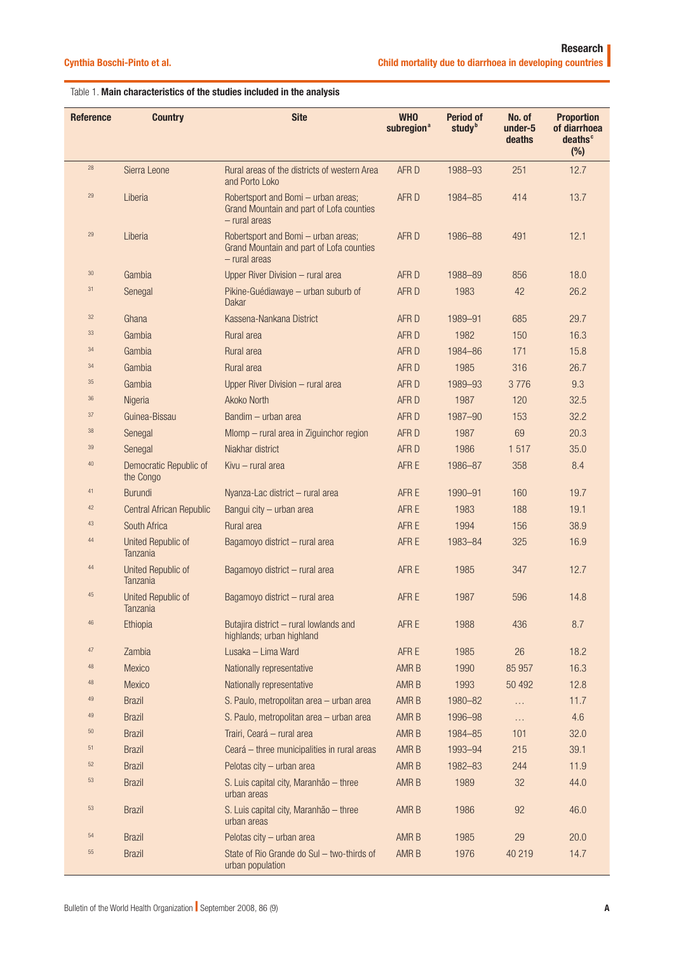# Table 1. Main characteristics of the studies included in the analysis

| <b>Reference</b> | <b>Country</b>                      | <b>Site</b>                                                                                      | <b>WHO</b><br>subregion <sup>a</sup> | <b>Period of</b><br>study <sup>b</sup> | No. of<br>under-5<br>deaths | <b>Proportion</b><br>of diarrhoea<br>deaths <sup>c</sup><br>(%) |
|------------------|-------------------------------------|--------------------------------------------------------------------------------------------------|--------------------------------------|----------------------------------------|-----------------------------|-----------------------------------------------------------------|
| 28               | Sierra Leone                        | Rural areas of the districts of western Area<br>and Porto Loko                                   | AFR D                                | 1988-93                                | 251                         | 12.7                                                            |
| 29               | Liberia                             | Robertsport and Bomi - urban areas;<br>Grand Mountain and part of Lofa counties<br>- rural areas | AFR D                                | 1984-85                                | 414                         | 13.7                                                            |
| 29               | Liberia                             | Robertsport and Bomi - urban areas;<br>Grand Mountain and part of Lofa counties<br>- rural areas | AFR D                                | 1986-88                                | 491                         | 12.1                                                            |
| $30\,$           | Gambia                              | Upper River Division - rural area                                                                | AFR D                                | 1988-89                                | 856                         | 18.0                                                            |
| 31               | Senegal                             | Pikine-Guédiawaye - urban suburb of<br>Dakar                                                     | AFR D                                | 1983                                   | 42                          | 26.2                                                            |
| 32               | Ghana                               | Kassena-Nankana District                                                                         | AFR D                                | 1989-91                                | 685                         | 29.7                                                            |
| 33               | Gambia                              | Rural area                                                                                       | AFR D                                | 1982                                   | 150                         | 16.3                                                            |
| 34               | Gambia                              | Rural area                                                                                       | AFR D                                | 1984-86                                | 171                         | 15.8                                                            |
| 34               | Gambia                              | Rural area                                                                                       | AFR D                                | 1985                                   | 316                         | 26.7                                                            |
| 35               | Gambia                              | Upper River Division - rural area                                                                | AFR D                                | 1989-93                                | 3776                        | 9.3                                                             |
| 36               | Nigeria                             | Akoko North                                                                                      | AFR D                                | 1987                                   | 120                         | 32.5                                                            |
| 37               | Guinea-Bissau                       | Bandim - urban area                                                                              | AFR D                                | 1987-90                                | 153                         | 32.2                                                            |
| 38               | Senegal                             | Mlomp - rural area in Ziguinchor region                                                          | AFR D                                | 1987                                   | 69                          | 20.3                                                            |
| 39               | Senegal                             | Niakhar district                                                                                 | AFR D                                | 1986                                   | 1517                        | 35.0                                                            |
| $40\,$           | Democratic Republic of<br>the Congo | Kivu - rural area                                                                                | AFR E                                | 1986-87                                | 358                         | 8.4                                                             |
| 41               | <b>Burundi</b>                      | Nyanza-Lac district - rural area                                                                 | AFR E                                | 1990-91                                | 160                         | 19.7                                                            |
| 42               | Central African Republic            | Bangui city - urban area                                                                         | AFR E                                | 1983                                   | 188                         | 19.1                                                            |
| 43               | South Africa                        | Rural area                                                                                       | AFR E                                | 1994                                   | 156                         | 38.9                                                            |
| 44               | United Republic of<br>Tanzania      | Bagamoyo district - rural area                                                                   | AFR E                                | 1983-84                                | 325                         | 16.9                                                            |
| 44               | United Republic of<br>Tanzania      | Bagamoyo district - rural area                                                                   | AFR E                                | 1985                                   | 347                         | 12.7                                                            |
| 45               | United Republic of<br>Tanzania      | Bagamoyo district - rural area                                                                   | AFR E                                | 1987                                   | 596                         | 14.8                                                            |
| 46               | Ethiopia                            | Butajira district - rural lowlands and<br>highlands; urban highland                              | AFR E                                | 1988                                   | 436                         | 8.7                                                             |
| $47\,$           | Zambia                              | Lusaka - Lima Ward                                                                               | AFR E                                | 1985                                   | 26                          | 18.2                                                            |
| 48               | Mexico                              | Nationally representative                                                                        | AMR B                                | 1990                                   | 85 957                      | 16.3                                                            |
| 48               | Mexico                              | Nationally representative                                                                        | AMR B                                | 1993                                   | 50 492                      | 12.8                                                            |
| $49\,$           | <b>Brazil</b>                       | S. Paulo, metropolitan area - urban area                                                         | AMR B                                | 1980-82                                | $\cdots$                    | 11.7                                                            |
| 49               | <b>Brazil</b>                       | S. Paulo, metropolitan area - urban area                                                         | AMR B                                | 1996-98                                | $\ldots$                    | 4.6                                                             |
| $50\,$           | <b>Brazil</b>                       | Trairi, Ceará - rural area                                                                       | AMR B                                | 1984-85                                | 101                         | 32.0                                                            |
| 51               | <b>Brazil</b>                       | Ceará - three municipalities in rural areas                                                      | AMR B                                | 1993-94                                | 215                         | 39.1                                                            |
| 52               | <b>Brazil</b>                       | Pelotas city - urban area                                                                        | AMR B                                | 1982-83                                | 244                         | 11.9                                                            |
| 53               | <b>Brazil</b>                       | S. Luis capital city, Maranhão - three<br>urban areas                                            | AMR B                                | 1989                                   | 32                          | 44.0                                                            |
| 53               | <b>Brazil</b>                       | S. Luis capital city, Maranhão - three<br>urban areas                                            | AMR B                                | 1986                                   | 92                          | 46.0                                                            |
| 54               | <b>Brazil</b>                       | Pelotas city - urban area                                                                        | AMR B                                | 1985                                   | 29                          | 20.0                                                            |
| 55               | <b>Brazil</b>                       | State of Rio Grande do Sul - two-thirds of<br>urban population                                   | AMR B                                | 1976                                   | 40 219                      | 14.7                                                            |